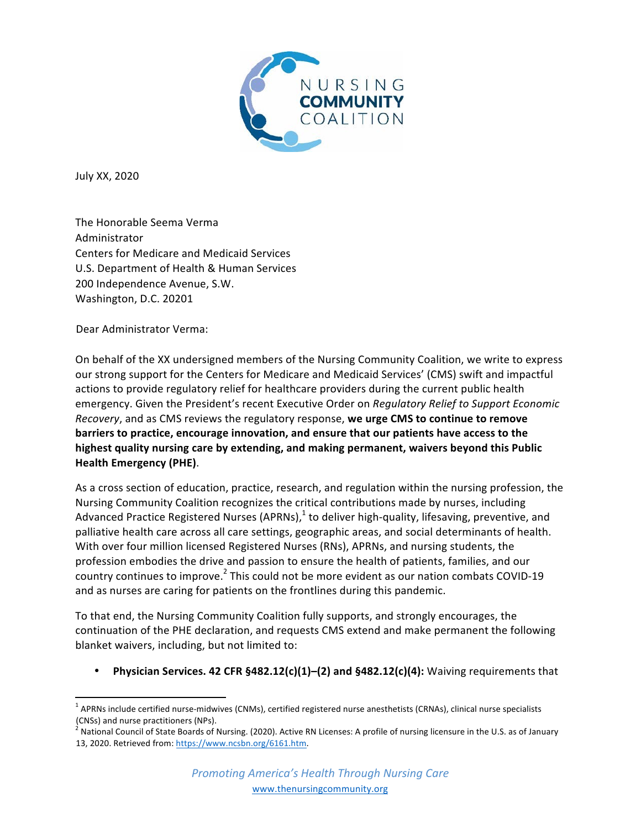

July XX, 2020

The Honorable Seema Verma Administrator Centers for Medicare and Medicaid Services U.S. Department of Health & Human Services 200 Independence Avenue, S.W. Washington, D.C. 20201

Dear Administrator Verma: 

On behalf of the XX undersigned members of the Nursing Community Coalition, we write to express our strong support for the Centers for Medicare and Medicaid Services' (CMS) swift and impactful actions to provide regulatory relief for healthcare providers during the current public health emergency. Given the President's recent Executive Order on *Regulatory Relief to Support Economic Recovery*, and as CMS reviews the regulatory response, we urge CMS to continue to remove **barriers to practice, encourage innovation, and ensure that our patients have access to the highest quality nursing care by extending, and making permanent, waivers beyond this Public Health Emergency (PHE)**. 

As a cross section of education, practice, research, and regulation within the nursing profession, the Nursing Community Coalition recognizes the critical contributions made by nurses, including Advanced Practice Registered Nurses (APRNs), $<sup>1</sup>$  to deliver high-quality, lifesaving, preventive, and</sup> palliative health care across all care settings, geographic areas, and social determinants of health. With over four million licensed Registered Nurses (RNs), APRNs, and nursing students, the profession embodies the drive and passion to ensure the health of patients, families, and our country continues to improve.<sup>2</sup> This could not be more evident as our nation combats COVID-19 and as nurses are caring for patients on the frontlines during this pandemic.

To that end, the Nursing Community Coalition fully supports, and strongly encourages, the continuation of the PHE declaration, and requests CMS extend and make permanent the following blanket waivers, including, but not limited to:

**Physician Services. 42 CFR §482.12(c)(1)–(2) and §482.12(c)(4):** Waiving requirements that

 $1$  APRNs include certified nurse-midwives (CNMs), certified registered nurse anesthetists (CRNAs), clinical nurse specialists (CNSs) and nurse practitioners (NPs).

 $^2$  National Council of State Boards of Nursing. (2020). Active RN Licenses: A profile of nursing licensure in the U.S. as of January 13, 2020. Retrieved from: https://www.ncsbn.org/6161.htm.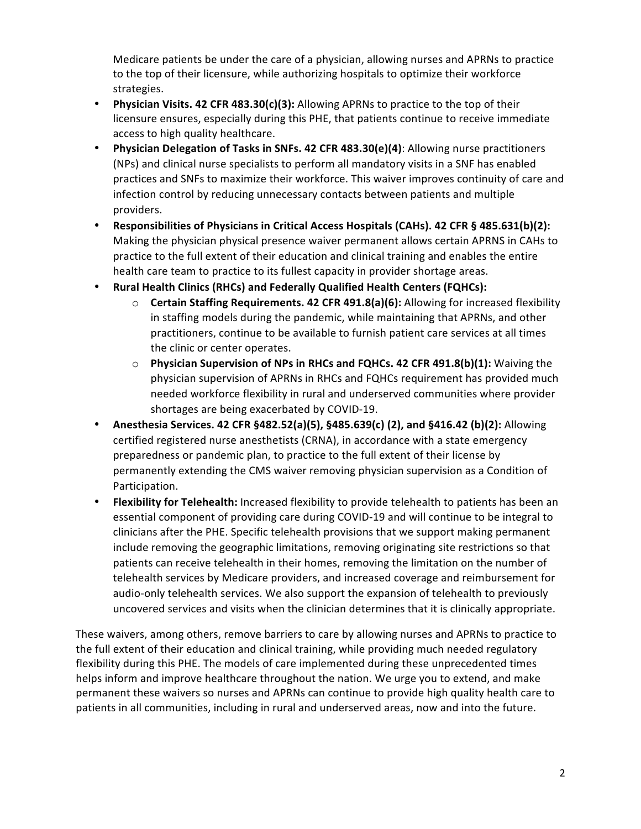Medicare patients be under the care of a physician, allowing nurses and APRNs to practice to the top of their licensure, while authorizing hospitals to optimize their workforce strategies.

- Physician Visits. 42 CFR 483.30(c)(3): Allowing APRNs to practice to the top of their licensure ensures, especially during this PHE, that patients continue to receive immediate access to high quality healthcare.
- Physician Delegation of Tasks in SNFs. 42 CFR 483.30(e)(4): Allowing nurse practitioners (NPs) and clinical nurse specialists to perform all mandatory visits in a SNF has enabled practices and SNFs to maximize their workforce. This waiver improves continuity of care and infection control by reducing unnecessary contacts between patients and multiple providers.
- **Responsibilities of Physicians in Critical Access Hospitals (CAHs).** 42 CFR § 485.631(b)(2): Making the physician physical presence waiver permanent allows certain APRNS in CAHs to practice to the full extent of their education and clinical training and enables the entire health care team to practice to its fullest capacity in provider shortage areas.
- **Rural Health Clinics (RHCs) and Federally Qualified Health Centers (FQHCs):** 
	- **Certain Staffing Requirements. 42 CFR 491.8(a)(6):** Allowing for increased flexibility in staffing models during the pandemic, while maintaining that APRNs, and other practitioners, continue to be available to furnish patient care services at all times the clinic or center operates.
	- $\circ$  **Physician Supervision of NPs in RHCs and FQHCs. 42 CFR 491.8(b)(1):** Waiving the physician supervision of APRNs in RHCs and FQHCs requirement has provided much needed workforce flexibility in rural and underserved communities where provider shortages are being exacerbated by COVID-19.
- **Anesthesia Services. 42 CFR §482.52(a)(5), §485.639(c) (2), and §416.42 (b)(2):** Allowing certified registered nurse anesthetists (CRNA), in accordance with a state emergency preparedness or pandemic plan, to practice to the full extent of their license by permanently extending the CMS waiver removing physician supervision as a Condition of Participation.
- Flexibility for Telehealth: Increased flexibility to provide telehealth to patients has been an essential component of providing care during COVID-19 and will continue to be integral to clinicians after the PHE. Specific telehealth provisions that we support making permanent include removing the geographic limitations, removing originating site restrictions so that patients can receive telehealth in their homes, removing the limitation on the number of telehealth services by Medicare providers, and increased coverage and reimbursement for audio-only telehealth services. We also support the expansion of telehealth to previously uncovered services and visits when the clinician determines that it is clinically appropriate.

These waivers, among others, remove barriers to care by allowing nurses and APRNs to practice to the full extent of their education and clinical training, while providing much needed regulatory flexibility during this PHE. The models of care implemented during these unprecedented times helps inform and improve healthcare throughout the nation. We urge you to extend, and make permanent these waivers so nurses and APRNs can continue to provide high quality health care to patients in all communities, including in rural and underserved areas, now and into the future.